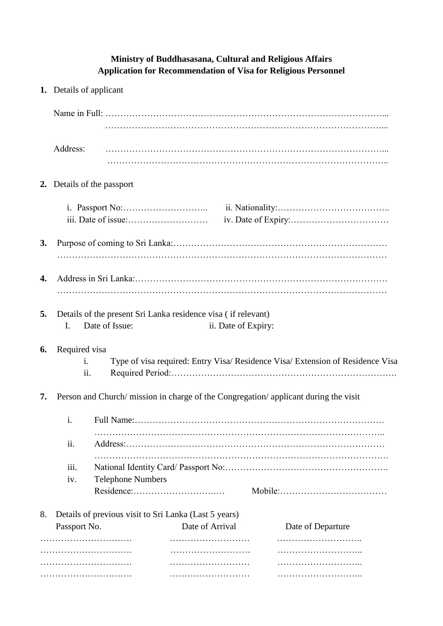## **Ministry of Buddhasasana, Cultural and Religious Affairs Application for Recommendation of Visa for Religious Personnel**

|    | 1. Details of applicant                                                                                      |  |                 |  |                   |  |
|----|--------------------------------------------------------------------------------------------------------------|--|-----------------|--|-------------------|--|
|    |                                                                                                              |  |                 |  |                   |  |
|    | Address:                                                                                                     |  |                 |  |                   |  |
|    | 2. Details of the passport                                                                                   |  |                 |  |                   |  |
|    |                                                                                                              |  |                 |  |                   |  |
| 3. |                                                                                                              |  |                 |  |                   |  |
| 4. |                                                                                                              |  |                 |  |                   |  |
| 5. | Details of the present Sri Lanka residence visa (if relevant)<br>Date of Issue:<br>ii. Date of Expiry:<br>I. |  |                 |  |                   |  |
| 6. | Required visa<br>Type of visa required: Entry Visa/ Residence Visa/ Extension of Residence Visa<br>i.<br>ii. |  |                 |  |                   |  |
| 7. | Person and Church/ mission in charge of the Congregation/ applicant during the visit                         |  |                 |  |                   |  |
|    | i.                                                                                                           |  |                 |  |                   |  |
|    | ii.<br>iii.<br><b>Telephone Numbers</b><br>iv.<br>Residence:                                                 |  |                 |  |                   |  |
| 8. | Details of previous visit to Sri Lanka (Last 5 years)                                                        |  |                 |  |                   |  |
|    | Passport No.                                                                                                 |  | Date of Arrival |  | Date of Departure |  |
|    |                                                                                                              |  |                 |  |                   |  |
|    |                                                                                                              |  |                 |  |                   |  |
|    |                                                                                                              |  |                 |  |                   |  |